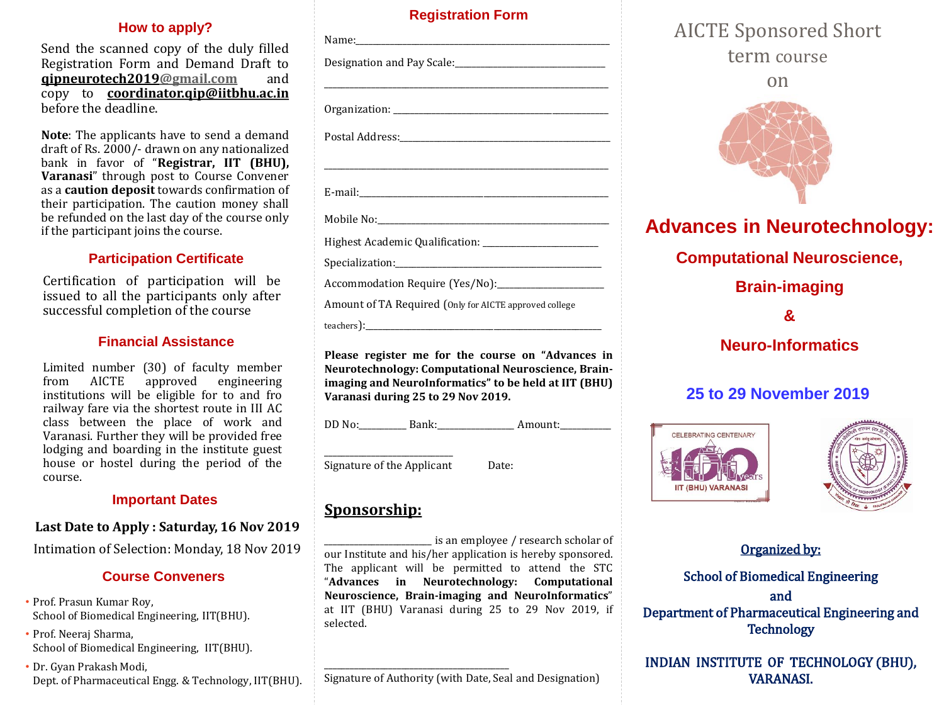## **How to apply?**

Send the scanned copy of the duly filled Registration Form and Demand Draft to **qipneurotech2019[@gmail.com](mailto:xyz@gmail.com)** and copy to **coordinator.qip@iitbhu.ac.in** before the deadline.

**Note**: The applicants have to send a demand draft of Rs. 2000/- drawn on any nationalized bank in favor of "**Registrar, IIT (BHU), Varanasi**" through post to Course Convener as a **caution deposit** towards confirmation of their participation. The caution money shall be refunded on the last day of the course only if the participant joins the course.

## **Participation Certificate**

Certification of participation will be issued to all the participants only after successful completion of the course

### **Financial Assistance**

Limited number (30) of faculty member from AICTE approved engineering institutions will be eligible for to and fro railway fare via the shortest route in III AC class between the place of work and Varanasi. Further they will be provided free lodging and boarding in the institute guest house or hostel during the period of the course.

### **Important Dates**

## **Last Date to Apply : Saturday, 16 Nov 2019**

Intimation of Selection: Monday, 18 Nov 2019

## **Course Conveners**

- Prof. Prasun Kumar Roy, School of Biomedical Engineering, IIT(BHU).
- Prof. Neeraj Sharma, School of Biomedical Engineering, IIT(BHU).
- Dr. Gyan Prakash Modi, Dept. of Pharmaceutical Engg. & Technology, IIT(BHU).

## **Registration Form**

| <u> 1989 - Johann Stoff, deutscher Stoff, der Stoff, der Stoff, der Stoff, der Stoff, der Stoff, der Stoff, der S</u> |
|-----------------------------------------------------------------------------------------------------------------------|
|                                                                                                                       |
|                                                                                                                       |
|                                                                                                                       |
|                                                                                                                       |
| Accommodation Require (Yes/No):______________________                                                                 |
| Amount of TA Required (Only for AICTE approved college                                                                |
|                                                                                                                       |

**Please register me for the course on "Advances in Neurotechnology: Computational Neuroscience, Brainimaging and NeuroInformatics" to be held at IIT (BHU) Varanasi during 25 to 29 Nov 2019.**

DD No: Bank: Amount:

Signature of the Applicant Date:

\_\_\_\_\_\_\_\_\_\_\_\_\_\_\_\_\_\_\_\_\_\_\_\_\_\_\_\_\_\_

## **Sponsorship:**

is an employee / research scholar of our Institute and his/her application is hereby sponsored. The applicant will be permitted to attend the STC "**Advances in Neurotechnology: Computational Neuroscience, Brain-imaging and NeuroInformatics**" at IIT (BHU) Varanasi during 25 to 29 Nov 2019, if selected.

Signature of Authority (with Date, Seal and Designation)

\_\_\_\_\_\_\_\_\_\_\_\_\_\_\_\_\_\_\_\_\_\_\_\_\_\_\_\_\_\_\_\_\_\_\_\_\_\_\_\_\_\_\_

# AICTE Sponsored Short term course

on



# **Advances in Neurotechnology:**

**Computational Neuroscience,** 

**Brain-imaging**

**&**

**Neuro-Informatics**

## **25 to 29 November 2019**





## Organized by:

School of Biomedical Engineering and Department of Pharmaceutical Engineering and **Technology** 

INDIAN INSTITUTE OF TECHNOLOGY (BHU), VARANASI.